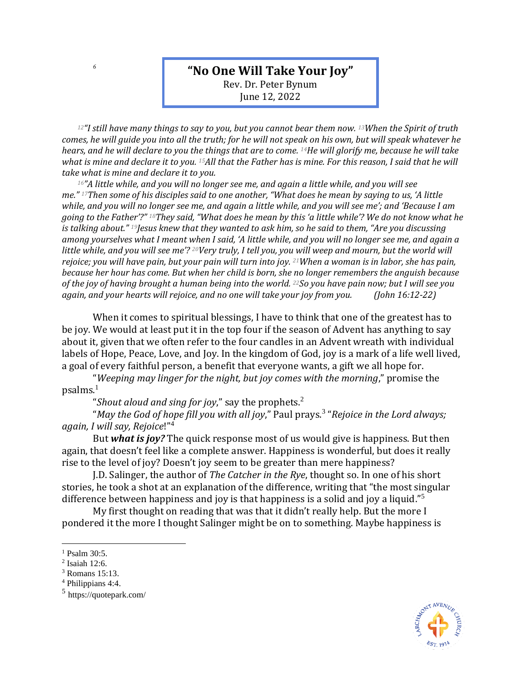## **"No One Will Take Your Joy"**

Rev. Dr. Peter Bynum June 12, 2022

*<sup>12</sup>"I still have many things to say to you, but you cannot bear them now. <sup>13</sup>When the Spirit of truth comes, he will guide you into all the truth; for he will not speak on his own, but will speak whatever he hears, and he will declare to you the things that are to come. <sup>14</sup>He will glorify me, because he will take what is mine and declare it to you. <sup>15</sup>All that the Father has is mine. For this reason, I said that he will take what is mine and declare it to you.*

*<sup>16</sup>"A little while, and you will no longer see me, and again a little while, and you will see me." <sup>17</sup>Then some of his disciples said to one another, "What does he mean by saying to us, 'A little while, and you will no longer see me, and again a little while, and you will see me'; and 'Because I am going to the Father'?" <sup>18</sup>They said, "What does he mean by this 'a little while'? We do not know what he is talking about." <sup>19</sup>Jesus knew that they wanted to ask him, so he said to them, "Are you discussing among yourselves what I meant when I said, 'A little while, and you will no longer see me, and again a little while, and you will see me'? <sup>20</sup>Very truly, I tell you, you will weep and mourn, but the world will rejoice; you will have pain, but your pain will turn into joy. <sup>21</sup>When a woman is in labor, she has pain, because her hour has come. But when her child is born, she no longer remembers the anguish because of the joy of having brought a human being into the world. <sup>22</sup>So you have pain now; but I will see you again, and your hearts will rejoice, and no one will take your joy from you. (John 16:12-22)*

When it comes to spiritual blessings, I have to think that one of the greatest has to be joy. We would at least put it in the top four if the season of Advent has anything to say about it, given that we often refer to the four candles in an Advent wreath with individual labels of Hope, Peace, Love, and Joy. In the kingdom of God, joy is a mark of a life well lived, a goal of every faithful person, a benefit that everyone wants, a gift we all hope for.

"*Weeping may linger for the night, but joy comes with the morning*," promise the  $p$ salms. $<sup>1</sup>$ </sup>

"*Shout aloud and sing for joy*," say the prophets.<sup>2</sup>

"*May the God of hope fill you with all joy*," Paul prays. 3 "*Rejoice in the Lord always; again, I will say, Rejoice*!"<sup>4</sup>

But *what is joy?* The quick response most of us would give is happiness. But then again, that doesn't feel like a complete answer. Happiness is wonderful, but does it really rise to the level of joy? Doesn't joy seem to be greater than mere happiness?

J.D. Salinger, the author of *The Catcher in the Rye*, thought so. In one of his short stories, he took a shot at an explanation of the difference, writing that "the most singular difference between happiness and joy is that happiness is a solid and joy a liquid."<sup>5</sup>

My first thought on reading that was that it didn't really help. But the more I pondered it the more I thought Salinger might be on to something. Maybe happiness is



*6*

<sup>&</sup>lt;sup>1</sup> Psalm 30:5.

<sup>2</sup> Isaiah 12:6.

<sup>3</sup> Romans 15:13.

<sup>4</sup> Philippians 4:4.

<sup>5</sup> https://quotepark.com/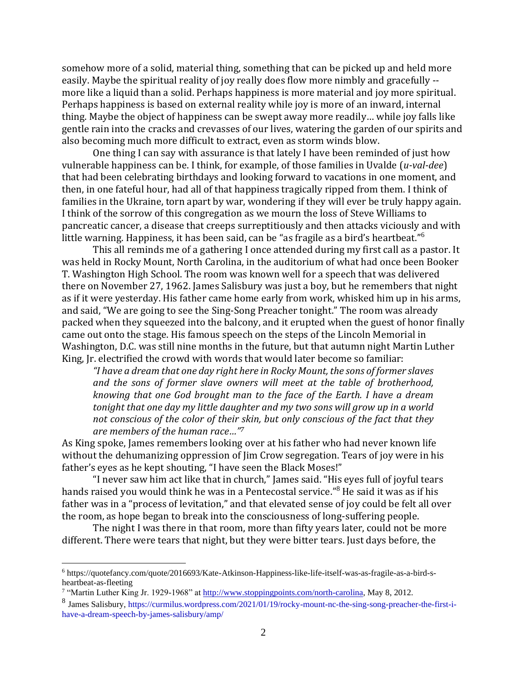somehow more of a solid, material thing, something that can be picked up and held more easily. Maybe the spiritual reality of joy really does flow more nimbly and gracefully - more like a liquid than a solid. Perhaps happiness is more material and joy more spiritual. Perhaps happiness is based on external reality while joy is more of an inward, internal thing. Maybe the object of happiness can be swept away more readily… while joy falls like gentle rain into the cracks and crevasses of our lives, watering the garden of our spirits and also becoming much more difficult to extract, even as storm winds blow.

One thing I can say with assurance is that lately I have been reminded of just how vulnerable happiness can be. I think, for example, of those families in Uvalde (*u-val-dee*) that had been celebrating birthdays and looking forward to vacations in one moment, and then, in one fateful hour, had all of that happiness tragically ripped from them. I think of families in the Ukraine, torn apart by war, wondering if they will ever be truly happy again. I think of the sorrow of this congregation as we mourn the loss of Steve Williams to pancreatic cancer, a disease that creeps surreptitiously and then attacks viciously and with little warning. Happiness, it has been said, can be "as fragile as a bird's heartbeat."<sup>6</sup>

This all reminds me of a gathering I once attended during my first call as a pastor. It was held in Rocky Mount, North Carolina, in the auditorium of what had once been Booker T. Washington High School. The room was known well for a speech that was delivered there on November 27, 1962. James Salisbury was just a boy, but he remembers that night as if it were yesterday. His father came home early from work, whisked him up in his arms, and said, "We are going to see the Sing-Song Preacher tonight." The room was already packed when they squeezed into the balcony, and it erupted when the guest of honor finally came out onto the stage. His famous speech on the steps of the Lincoln Memorial in Washington, D.C. was still nine months in the future, but that autumn night Martin Luther King, Jr. electrified the crowd with words that would later become so familiar:

*"I have a dream that one day right here in Rocky Mount, the sons of former slaves and the sons of former slave owners will meet at the table of brotherhood, knowing that one God brought man to the face of the Earth. I have a dream tonight that one day my little daughter and my two sons will grow up in a world not conscious of the color of their skin, but only conscious of the fact that they are members of the human race…" 7*

As King spoke, James remembers looking over at his father who had never known life without the dehumanizing oppression of Jim Crow segregation. Tears of joy were in his father's eyes as he kept shouting, "I have seen the Black Moses!"

"I never saw him act like that in church," James said. "His eyes full of joyful tears hands raised you would think he was in a Pentecostal service." <sup>8</sup> He said it was as if his father was in a "process of levitation," and that elevated sense of joy could be felt all over the room, as hope began to break into the consciousness of long-suffering people.

The night I was there in that room, more than fifty years later, could not be more different. There were tears that night, but they were bitter tears. Just days before, the

<sup>6</sup> https://quotefancy.com/quote/2016693/Kate-Atkinson-Happiness-like-life-itself-was-as-fragile-as-a-bird-sheartbeat-as-fleeting

<sup>&</sup>lt;sup>7</sup> "Martin Luther King Jr. 1929-1968" at [http://www.stoppingpoints.com/north-carolina,](http://www.stoppingpoints.com/north-carolina) May 8, 2012.

<sup>8</sup> James Salisbury[, https://curmilus.wordpress.com/2021/01/19/rocky-mount-nc-the-sing-song-preacher-the-first-i](https://curmilus.wordpress.com/2021/01/19/rocky-mount-nc-the-sing-song-preacher-the-first-i-have-a-dream-speech-by-james-salisbury/amp/)[have-a-dream-speech-by-james-salisbury/amp/](https://curmilus.wordpress.com/2021/01/19/rocky-mount-nc-the-sing-song-preacher-the-first-i-have-a-dream-speech-by-james-salisbury/amp/)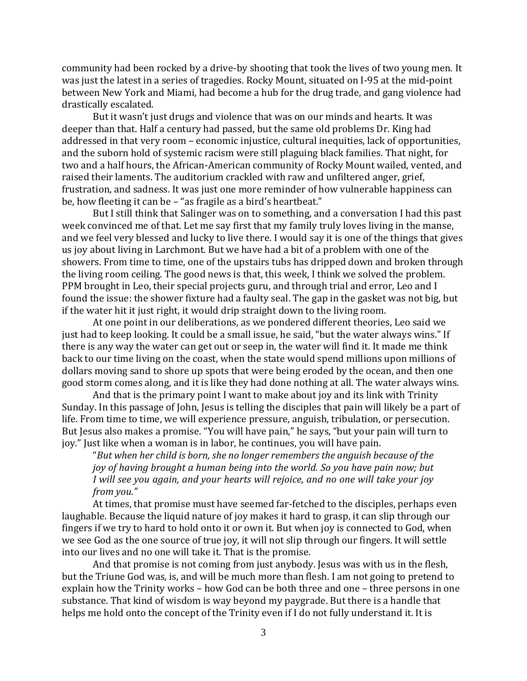community had been rocked by a drive-by shooting that took the lives of two young men. It was just the latest in a series of tragedies. Rocky Mount, situated on I-95 at the mid-point between New York and Miami, had become a hub for the drug trade, and gang violence had drastically escalated.

But it wasn't just drugs and violence that was on our minds and hearts. It was deeper than that. Half a century had passed, but the same old problems Dr. King had addressed in that very room – economic injustice, cultural inequities, lack of opportunities, and the suborn hold of systemic racism were still plaguing black families. That night, for two and a half hours, the African-American community of Rocky Mount wailed, vented, and raised their laments. The auditorium crackled with raw and unfiltered anger, grief, frustration, and sadness. It was just one more reminder of how vulnerable happiness can be, how fleeting it can be – "as fragile as a bird's heartbeat."

But I still think that Salinger was on to something, and a conversation I had this past week convinced me of that. Let me say first that my family truly loves living in the manse, and we feel very blessed and lucky to live there. I would say it is one of the things that gives us joy about living in Larchmont. But we have had a bit of a problem with one of the showers. From time to time, one of the upstairs tubs has dripped down and broken through the living room ceiling. The good news is that, this week, I think we solved the problem. PPM brought in Leo, their special projects guru, and through trial and error, Leo and I found the issue: the shower fixture had a faulty seal. The gap in the gasket was not big, but if the water hit it just right, it would drip straight down to the living room.

At one point in our deliberations, as we pondered different theories, Leo said we just had to keep looking. It could be a small issue, he said, "but the water always wins." If there is any way the water can get out or seep in, the water will find it. It made me think back to our time living on the coast, when the state would spend millions upon millions of dollars moving sand to shore up spots that were being eroded by the ocean, and then one good storm comes along, and it is like they had done nothing at all. The water always wins.

And that is the primary point I want to make about joy and its link with Trinity Sunday. In this passage of John, Jesus is telling the disciples that pain will likely be a part of life. From time to time, we will experience pressure, anguish, tribulation, or persecution. But Jesus also makes a promise. "You will have pain," he says, "but your pain will turn to joy." Just like when a woman is in labor, he continues, you will have pain.

"*But when her child is born, she no longer remembers the anguish because of the joy of having brought a human being into the world. So you have pain now; but I will see you again, and your hearts will rejoice, and no one will take your joy from you."*

At times, that promise must have seemed far-fetched to the disciples, perhaps even laughable. Because the liquid nature of joy makes it hard to grasp, it can slip through our fingers if we try to hard to hold onto it or own it. But when joy is connected to God, when we see God as the one source of true joy, it will not slip through our fingers. It will settle into our lives and no one will take it. That is the promise.

And that promise is not coming from just anybody. Jesus was with us in the flesh, but the Triune God was, is, and will be much more than flesh. I am not going to pretend to explain how the Trinity works – how God can be both three and one – three persons in one substance. That kind of wisdom is way beyond my paygrade. But there is a handle that helps me hold onto the concept of the Trinity even if I do not fully understand it. It is